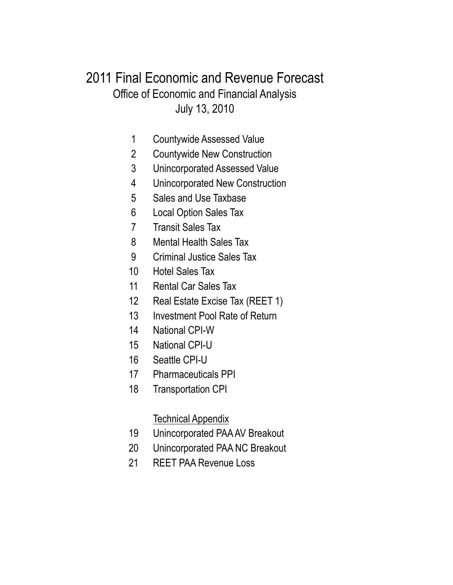### July 13, 2010 Office of Economic and Financial Analysis 2011 Final Economic and Revenue Forecast

- Countywide Assessed Value
- Countywide New Construction
- Unincorporated Assessed Value
- Unincorporated New Construction
- Sales and Use Taxbase
- Local Option Sales Tax
- Transit Sales Tax
- Mental Health Sales Tax
- Criminal Justice Sales Tax
- Hotel Sales Tax
- 11 Rental Car Sales Tax
- Real Estate Excise Tax (REET 1)
- Investment Pool Rate of Return
- National CPI-W
- National CPI-U
- Seattle CPI-U
- Pharmaceuticals PPI
- Transportation CPI

### Technical Appendix

- Unincorporated PAA AV Breakout
- Unincorporated PAA NC Breakout
- REET PAA Revenue Loss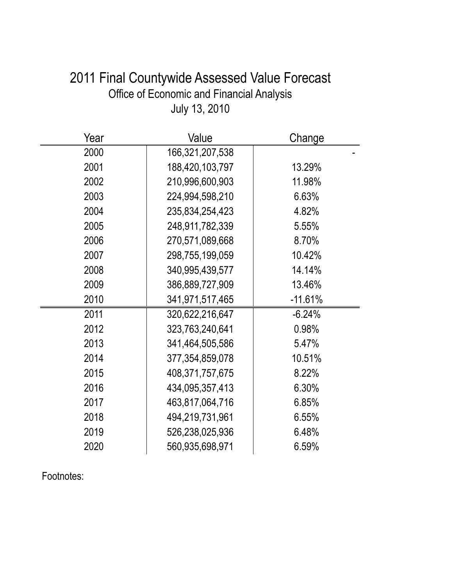## 2011 Final Countywide Assessed Value Forecast Office of Economic and Financial Analysis July 13, 2010

| Year | Value           | Change    |
|------|-----------------|-----------|
| 2000 | 166,321,207,538 |           |
| 2001 | 188,420,103,797 | 13.29%    |
| 2002 | 210,996,600,903 | 11.98%    |
| 2003 | 224,994,598,210 | 6.63%     |
| 2004 | 235,834,254,423 | 4.82%     |
| 2005 | 248,911,782,339 | 5.55%     |
| 2006 | 270,571,089,668 | 8.70%     |
| 2007 | 298,755,199,059 | 10.42%    |
| 2008 | 340,995,439,577 | 14.14%    |
| 2009 | 386,889,727,909 | 13.46%    |
| 2010 | 341,971,517,465 | $-11.61%$ |
| 2011 | 320,622,216,647 | $-6.24%$  |
| 2012 | 323,763,240,641 | 0.98%     |
| 2013 | 341,464,505,586 | 5.47%     |
| 2014 | 377,354,859,078 | 10.51%    |
| 2015 | 408,371,757,675 | 8.22%     |
| 2016 | 434,095,357,413 | 6.30%     |
| 2017 | 463,817,064,716 | 6.85%     |
| 2018 | 494,219,731,961 | 6.55%     |
| 2019 | 526,238,025,936 | 6.48%     |
| 2020 | 560,935,698,971 | 6.59%     |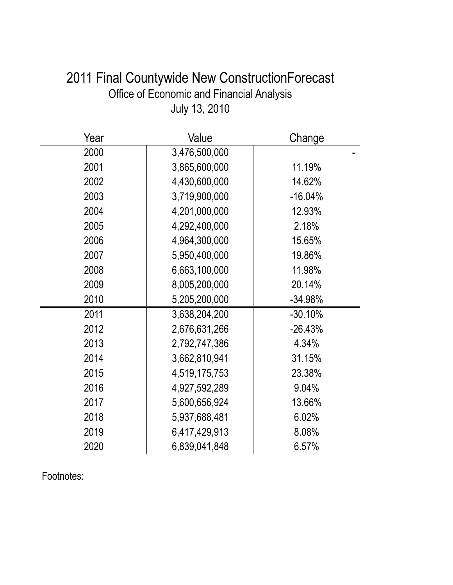| 2011 Final Countywide New ConstructionForecast |
|------------------------------------------------|
| Office of Economic and Financial Analysis      |
| July 13, 2010                                  |

| Year | Value         | Change    |
|------|---------------|-----------|
| 2000 | 3,476,500,000 |           |
| 2001 | 3,865,600,000 | 11.19%    |
| 2002 | 4,430,600,000 | 14.62%    |
| 2003 | 3,719,900,000 | $-16.04%$ |
| 2004 | 4,201,000,000 | 12.93%    |
| 2005 | 4,292,400,000 | 2.18%     |
| 2006 | 4,964,300,000 | 15.65%    |
| 2007 | 5,950,400,000 | 19.86%    |
| 2008 | 6,663,100,000 | 11.98%    |
| 2009 | 8,005,200,000 | 20.14%    |
| 2010 | 5,205,200,000 | $-34.98%$ |
| 2011 | 3,638,204,200 | $-30.10%$ |
| 2012 | 2,676,631,266 | $-26.43%$ |
| 2013 | 2,792,747,386 | 4.34%     |
| 2014 | 3,662,810,941 | 31.15%    |
| 2015 | 4,519,175,753 | 23.38%    |
| 2016 | 4,927,592,289 | 9.04%     |
| 2017 | 5,600,656,924 | 13.66%    |
| 2018 | 5,937,688,481 | 6.02%     |
| 2019 | 6,417,429,913 | 8.08%     |
| 2020 | 6,839,041,848 | 6.57%     |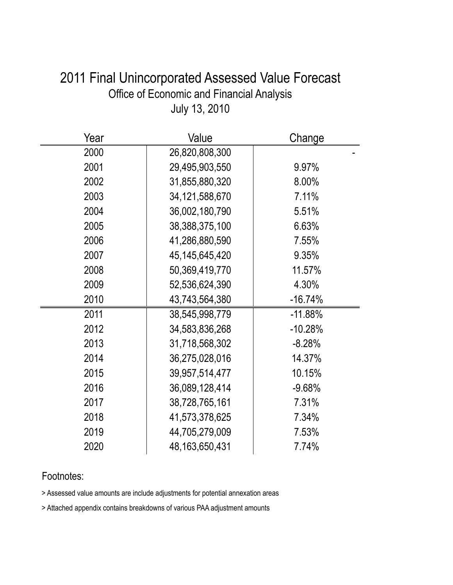| 2011 Final Unincorporated Assessed Value Forecast |  |
|---------------------------------------------------|--|
| Office of Economic and Financial Analysis         |  |
| July 13, 2010                                     |  |

| Year | Value             | Change    |
|------|-------------------|-----------|
| 2000 | 26,820,808,300    |           |
| 2001 | 29,495,903,550    | 9.97%     |
| 2002 | 31,855,880,320    | 8.00%     |
| 2003 | 34, 121, 588, 670 | 7.11%     |
| 2004 | 36,002,180,790    | 5.51%     |
| 2005 | 38,388,375,100    | 6.63%     |
| 2006 | 41,286,880,590    | 7.55%     |
| 2007 | 45, 145, 645, 420 | 9.35%     |
| 2008 | 50,369,419,770    | 11.57%    |
| 2009 | 52,536,624,390    | 4.30%     |
| 2010 | 43,743,564,380    | $-16.74%$ |
| 2011 | 38,545,998,779    | $-11.88%$ |
| 2012 | 34,583,836,268    | $-10.28%$ |
| 2013 | 31,718,568,302    | $-8.28%$  |
| 2014 | 36,275,028,016    | 14.37%    |
| 2015 | 39,957,514,477    | 10.15%    |
| 2016 | 36,089,128,414    | $-9.68%$  |
| 2017 | 38,728,765,161    | 7.31%     |
| 2018 | 41,573,378,625    | 7.34%     |
| 2019 | 44,705,279,009    | 7.53%     |
| 2020 | 48, 163, 650, 431 | 7.74%     |

> Assessed value amounts are include adjustments for potential annexation areas

> Attached appendix contains breakdowns of various PAA adjustment amounts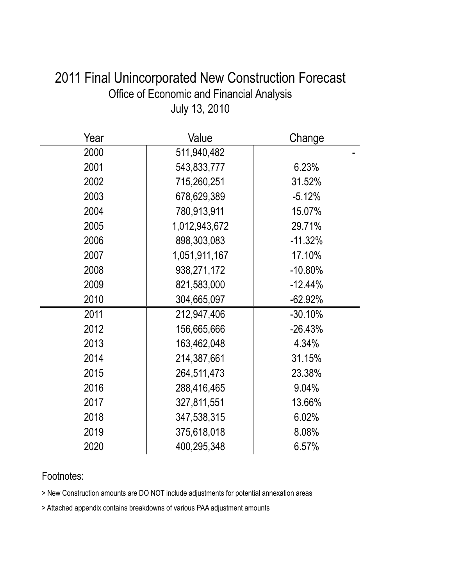| Year | Value         | Change     |
|------|---------------|------------|
| 2000 | 511,940,482   |            |
| 2001 | 543,833,777   | 6.23%      |
| 2002 | 715,260,251   | 31.52%     |
| 2003 | 678,629,389   | $-5.12%$   |
| 2004 | 780,913,911   | 15.07%     |
| 2005 | 1,012,943,672 | 29.71%     |
| 2006 | 898,303,083   | $-11.32%$  |
| 2007 | 1,051,911,167 | 17.10%     |
| 2008 | 938,271,172   | $-10.80\%$ |
| 2009 | 821,583,000   | $-12.44%$  |
| 2010 | 304,665,097   | $-62.92%$  |
| 2011 | 212,947,406   | $-30.10%$  |
| 2012 | 156,665,666   | $-26.43%$  |
| 2013 | 163,462,048   | 4.34%      |
| 2014 | 214,387,661   | 31.15%     |
| 2015 | 264,511,473   | 23.38%     |
| 2016 | 288,416,465   | 9.04%      |
| 2017 | 327,811,551   | 13.66%     |
| 2018 | 347,538,315   | 6.02%      |
| 2019 | 375,618,018   | 8.08%      |
| 2020 | 400,295,348   | 6.57%      |

## 2011 Final Unincorporated New Construction Forecast Office of Economic and Financial Analysis July 13, 2010

### Footnotes:

> New Construction amounts are DO NOT include adjustments for potential annexation areas

> Attached appendix contains breakdowns of various PAA adjustment amounts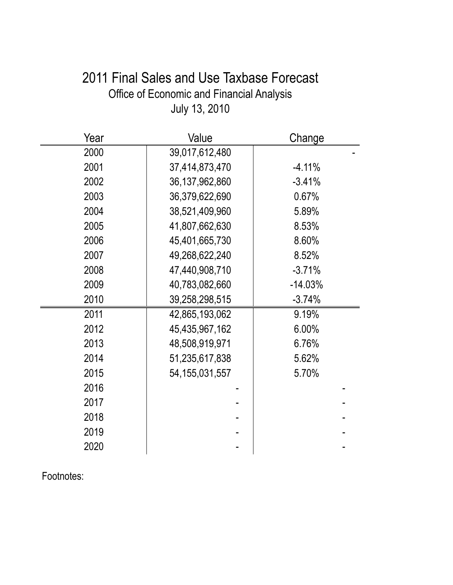# 2011 Final Sales and Use Taxbase Forecast Office of Economic and Financial Analysis July 13, 2010

| Year | Value             | Change    |
|------|-------------------|-----------|
| 2000 | 39,017,612,480    |           |
| 2001 | 37,414,873,470    | $-4.11%$  |
| 2002 | 36, 137, 962, 860 | $-3.41%$  |
| 2003 | 36,379,622,690    | 0.67%     |
| 2004 | 38,521,409,960    | 5.89%     |
| 2005 | 41,807,662,630    | 8.53%     |
| 2006 | 45,401,665,730    | 8.60%     |
| 2007 | 49,268,622,240    | 8.52%     |
| 2008 | 47,440,908,710    | $-3.71%$  |
| 2009 | 40,783,082,660    | $-14.03%$ |
| 2010 | 39,258,298,515    | $-3.74%$  |
| 2011 | 42,865,193,062    | 9.19%     |
| 2012 | 45,435,967,162    | 6.00%     |
| 2013 | 48,508,919,971    | 6.76%     |
| 2014 | 51,235,617,838    | 5.62%     |
| 2015 | 54, 155, 031, 557 | 5.70%     |
| 2016 |                   |           |
| 2017 |                   |           |
| 2018 |                   |           |
| 2019 |                   |           |
| 2020 |                   |           |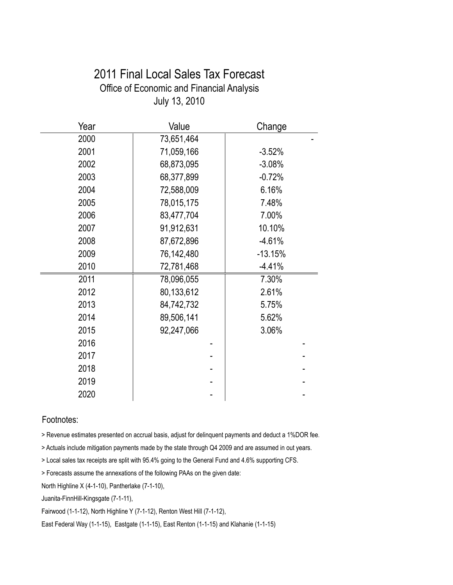### 2011 Final Local Sales Tax Forecast Office of Economic and Financial Analysis July 13, 2010

| Year | Value      | Change    |
|------|------------|-----------|
| 2000 | 73,651,464 |           |
| 2001 | 71,059,166 | $-3.52%$  |
| 2002 | 68,873,095 | $-3.08%$  |
| 2003 | 68,377,899 | $-0.72%$  |
| 2004 | 72,588,009 | 6.16%     |
| 2005 | 78,015,175 | 7.48%     |
| 2006 | 83,477,704 | 7.00%     |
| 2007 | 91,912,631 | 10.10%    |
| 2008 | 87,672,896 | $-4.61%$  |
| 2009 | 76,142,480 | $-13.15%$ |
| 2010 | 72,781,468 | $-4.41%$  |
| 2011 | 78,096,055 | 7.30%     |
| 2012 | 80,133,612 | 2.61%     |
| 2013 | 84,742,732 | 5.75%     |
| 2014 | 89,506,141 | 5.62%     |
| 2015 | 92,247,066 | 3.06%     |
| 2016 |            |           |
| 2017 |            |           |
| 2018 |            |           |
| 2019 |            |           |
| 2020 |            |           |

#### Footnotes:

> Revenue estimates presented on accrual basis, adjust for delinquent payments and deduct a 1%DOR fee.

> Actuals include mitigation payments made by the state through Q4 2009 and are assumed in out years.

> Local sales tax receipts are split with 95.4% going to the General Fund and 4.6% supporting CFS.

> Forecasts assume the annexations of the following PAAs on the given date:

North Highline X (4-1-10), Pantherlake (7-1-10),

Juanita-FinnHill-Kingsgate (7-1-11),

Fairwood (1-1-12), North Highline Y (7-1-12), Renton West Hill (7-1-12),

East Federal Way (1-1-15), Eastgate (1-1-15), East Renton (1-1-15) and Klahanie (1-1-15)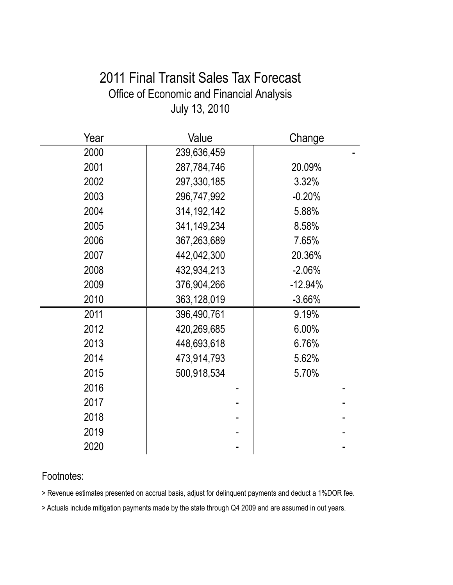## 2011 Final Transit Sales Tax Forecast Office of Economic and Financial Analysis July 13, 2010

| Year | Value         | Change    |
|------|---------------|-----------|
| 2000 | 239,636,459   |           |
| 2001 | 287,784,746   | 20.09%    |
| 2002 | 297,330,185   | 3.32%     |
| 2003 | 296,747,992   | $-0.20%$  |
| 2004 | 314, 192, 142 | 5.88%     |
| 2005 | 341,149,234   | 8.58%     |
| 2006 | 367,263,689   | 7.65%     |
| 2007 | 442,042,300   | 20.36%    |
| 2008 | 432,934,213   | $-2.06%$  |
| 2009 | 376,904,266   | $-12.94%$ |
| 2010 | 363,128,019   | $-3.66%$  |
| 2011 | 396,490,761   | 9.19%     |
| 2012 | 420,269,685   | 6.00%     |
| 2013 | 448,693,618   | 6.76%     |
| 2014 | 473,914,793   | 5.62%     |
| 2015 | 500,918,534   | 5.70%     |
| 2016 |               |           |
| 2017 |               |           |
| 2018 |               |           |
| 2019 |               |           |
| 2020 |               |           |

### Footnotes:

> Revenue estimates presented on accrual basis, adjust for delinquent payments and deduct a 1%DOR fee.

> Actuals include mitigation payments made by the state through Q4 2009 and are assumed in out years.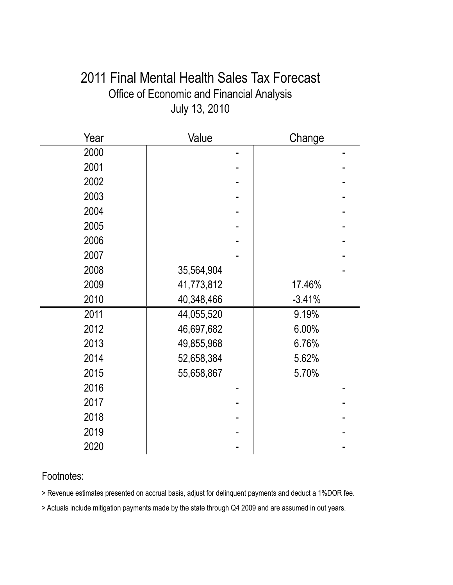### 2011 Final Mental Health Sales Tax Forecast Office of Economic and Financial Analysis July 13, 2010

| Year | Value      | Change   |
|------|------------|----------|
| 2000 |            |          |
| 2001 |            |          |
| 2002 |            |          |
| 2003 |            |          |
| 2004 |            |          |
| 2005 |            |          |
| 2006 |            |          |
| 2007 |            |          |
| 2008 | 35,564,904 |          |
| 2009 | 41,773,812 | 17.46%   |
| 2010 | 40,348,466 | $-3.41%$ |
| 2011 | 44,055,520 | 9.19%    |
| 2012 | 46,697,682 | 6.00%    |
| 2013 | 49,855,968 | 6.76%    |
| 2014 | 52,658,384 | 5.62%    |
| 2015 | 55,658,867 | 5.70%    |
| 2016 |            |          |
| 2017 |            |          |
| 2018 |            |          |
| 2019 |            |          |
| 2020 |            |          |

### Footnotes:

> Revenue estimates presented on accrual basis, adjust for delinquent payments and deduct a 1%DOR fee.

> Actuals include mitigation payments made by the state through Q4 2009 and are assumed in out years.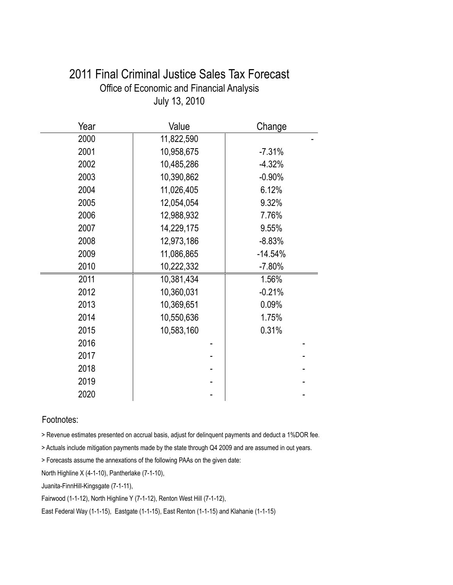| Year | Value      | Change    |
|------|------------|-----------|
| 2000 | 11,822,590 |           |
| 2001 | 10,958,675 | $-7.31%$  |
| 2002 | 10,485,286 | $-4.32%$  |
| 2003 | 10,390,862 | $-0.90%$  |
| 2004 | 11,026,405 | 6.12%     |
| 2005 | 12,054,054 | 9.32%     |
| 2006 | 12,988,932 | 7.76%     |
| 2007 | 14,229,175 | 9.55%     |
| 2008 | 12,973,186 | $-8.83%$  |
| 2009 | 11,086,865 | $-14.54%$ |
| 2010 | 10,222,332 | $-7.80%$  |
| 2011 | 10,381,434 | 1.56%     |
| 2012 | 10,360,031 | $-0.21%$  |
| 2013 | 10,369,651 | 0.09%     |
| 2014 | 10,550,636 | 1.75%     |
| 2015 | 10,583,160 | 0.31%     |
| 2016 |            |           |
| 2017 |            |           |
| 2018 |            |           |
| 2019 |            |           |
| 2020 |            |           |

### 2011 Final Criminal Justice Sales Tax Forecast Office of Economic and Financial Analysis July 13, 2010

#### Footnotes:

> Revenue estimates presented on accrual basis, adjust for delinquent payments and deduct a 1%DOR fee.

> Actuals include mitigation payments made by the state through Q4 2009 and are assumed in out years.

> Forecasts assume the annexations of the following PAAs on the given date:

North Highline X (4-1-10), Pantherlake (7-1-10),

Juanita-FinnHill-Kingsgate (7-1-11),

Fairwood (1-1-12), North Highline Y (7-1-12), Renton West Hill (7-1-12),

East Federal Way (1-1-15), Eastgate (1-1-15), East Renton (1-1-15) and Klahanie (1-1-15)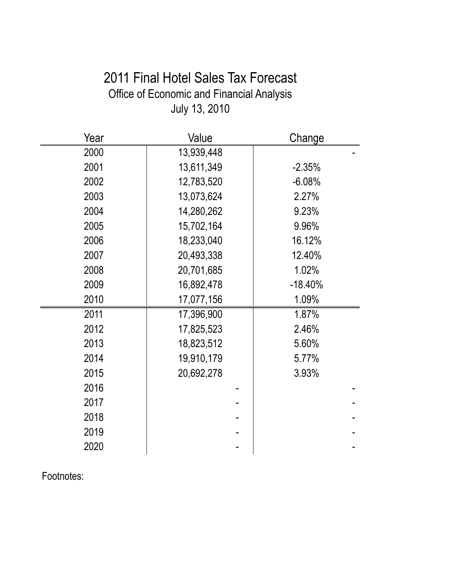# 2011 Final Hotel Sales Tax Forecast Office of Economic and Financial Analysis July 13, 2010

| Year | Value      | Change    |
|------|------------|-----------|
| 2000 | 13,939,448 |           |
| 2001 | 13,611,349 | $-2.35%$  |
| 2002 | 12,783,520 | $-6.08%$  |
| 2003 | 13,073,624 | 2.27%     |
| 2004 | 14,280,262 | 9.23%     |
| 2005 | 15,702,164 | 9.96%     |
| 2006 | 18,233,040 | 16.12%    |
| 2007 | 20,493,338 | 12.40%    |
| 2008 | 20,701,685 | 1.02%     |
| 2009 | 16,892,478 | $-18.40%$ |
| 2010 | 17,077,156 | 1.09%     |
| 2011 | 17,396,900 | 1.87%     |
| 2012 | 17,825,523 | 2.46%     |
| 2013 | 18,823,512 | 5.60%     |
| 2014 | 19,910,179 | 5.77%     |
| 2015 | 20,692,278 | 3.93%     |
| 2016 |            |           |
| 2017 |            |           |
| 2018 |            |           |
| 2019 |            |           |
| 2020 |            |           |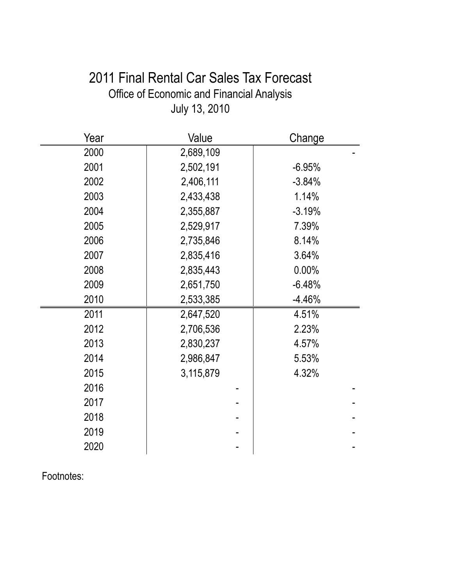# 2011 Final Rental Car Sales Tax Forecast Office of Economic and Financial Analysis July 13, 2010

| Year | Value     | Change   |
|------|-----------|----------|
| 2000 | 2,689,109 |          |
| 2001 | 2,502,191 | $-6.95%$ |
| 2002 | 2,406,111 | $-3.84%$ |
| 2003 | 2,433,438 | 1.14%    |
| 2004 | 2,355,887 | $-3.19%$ |
| 2005 | 2,529,917 | 7.39%    |
| 2006 | 2,735,846 | 8.14%    |
| 2007 | 2,835,416 | 3.64%    |
| 2008 | 2,835,443 | 0.00%    |
| 2009 | 2,651,750 | $-6.48%$ |
| 2010 | 2,533,385 | $-4.46%$ |
| 2011 | 2,647,520 | 4.51%    |
| 2012 | 2,706,536 | 2.23%    |
| 2013 | 2,830,237 | 4.57%    |
| 2014 | 2,986,847 | 5.53%    |
| 2015 | 3,115,879 | 4.32%    |
| 2016 |           |          |
| 2017 |           |          |
| 2018 |           |          |
| 2019 |           |          |
| 2020 |           |          |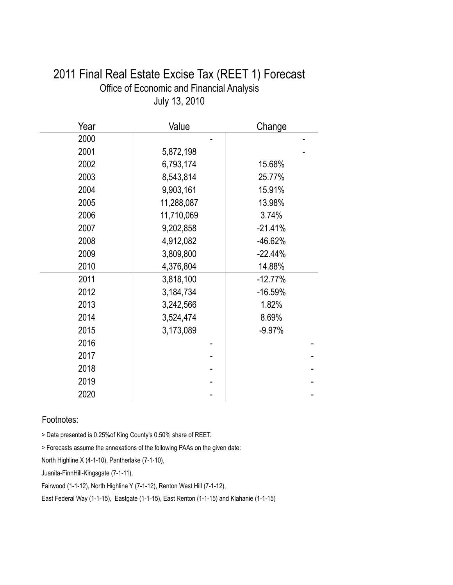|      | $0.41$ y $1.0$ , $2.01$ |           |
|------|-------------------------|-----------|
| Year | Value                   | Change    |
| 2000 |                         |           |
| 2001 | 5,872,198               |           |
| 2002 | 6,793,174               | 15.68%    |
| 2003 | 8,543,814               | 25.77%    |
| 2004 | 9,903,161               | 15.91%    |
| 2005 | 11,288,087              | 13.98%    |
| 2006 | 11,710,069              | 3.74%     |
| 2007 | 9,202,858               | $-21.41%$ |
| 2008 | 4,912,082               | -46.62%   |
| 2009 | 3,809,800               | $-22.44%$ |
| 2010 | 4,376,804               | 14.88%    |
| 2011 | 3,818,100               | $-12.77%$ |
| 2012 | 3,184,734               | $-16.59%$ |
| 2013 | 3,242,566               | 1.82%     |
| 2014 | 3,524,474               | 8.69%     |
| 2015 | 3,173,089               | $-9.97%$  |
| 2016 |                         |           |
| 2017 |                         |           |
| 2018 |                         |           |
| 2019 |                         |           |
| 2020 |                         |           |

### 2011 Final Real Estate Excise Tax (REET 1) Forecast Office of Economic and Financial Analysis July 13, 2010

#### Footnotes:

> Data presented is 0.25%of King County's 0.50% share of REET.

> Forecasts assume the annexations of the following PAAs on the given date:

North Highline X (4-1-10), Pantherlake (7-1-10),

Juanita-FinnHill-Kingsgate (7-1-11),

Fairwood (1-1-12), North Highline Y (7-1-12), Renton West Hill (7-1-12),

East Federal Way (1-1-15), Eastgate (1-1-15), East Renton (1-1-15) and Klahanie (1-1-15)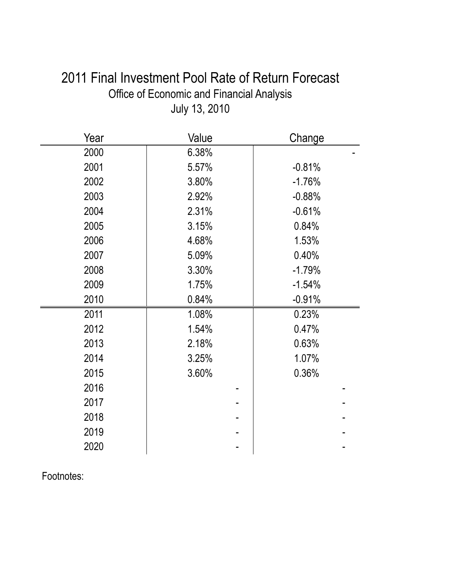| 2011 Final Investment Pool Rate of Return Forecast |  |
|----------------------------------------------------|--|
| <b>Office of Economic and Financial Analysis</b>   |  |
| July 13, 2010                                      |  |

| Year | Value | Change   |
|------|-------|----------|
| 2000 | 6.38% |          |
| 2001 | 5.57% | $-0.81%$ |
| 2002 | 3.80% | $-1.76%$ |
| 2003 | 2.92% | $-0.88%$ |
| 2004 | 2.31% | $-0.61%$ |
| 2005 | 3.15% | 0.84%    |
| 2006 | 4.68% | 1.53%    |
| 2007 | 5.09% | 0.40%    |
| 2008 | 3.30% | $-1.79%$ |
| 2009 | 1.75% | $-1.54%$ |
| 2010 | 0.84% | $-0.91%$ |
| 2011 | 1.08% | 0.23%    |
| 2012 | 1.54% | 0.47%    |
| 2013 | 2.18% | 0.63%    |
| 2014 | 3.25% | 1.07%    |
| 2015 | 3.60% | 0.36%    |
| 2016 |       |          |
| 2017 |       |          |
| 2018 |       |          |
| 2019 |       |          |
| 2020 |       |          |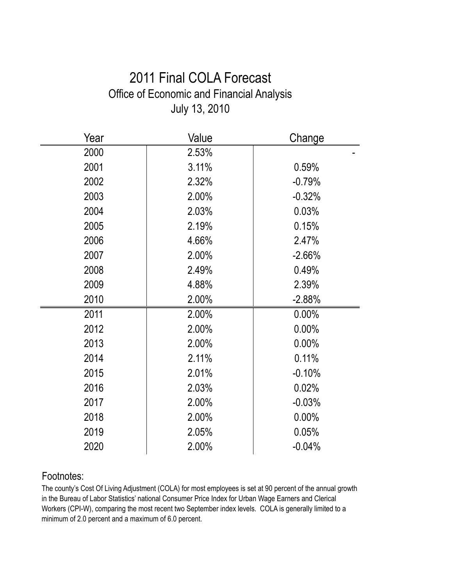## 2011 Final COLA Forecast Office of Economic and Financial Analysis July 13, 2010

| Year | Value | Change   |
|------|-------|----------|
| 2000 | 2.53% |          |
| 2001 | 3.11% | 0.59%    |
| 2002 | 2.32% | $-0.79%$ |
| 2003 | 2.00% | $-0.32%$ |
| 2004 | 2.03% | 0.03%    |
| 2005 | 2.19% | 0.15%    |
| 2006 | 4.66% | 2.47%    |
| 2007 | 2.00% | $-2.66%$ |
| 2008 | 2.49% | 0.49%    |
| 2009 | 4.88% | 2.39%    |
| 2010 | 2.00% | $-2.88%$ |
| 2011 | 2.00% | 0.00%    |
| 2012 | 2.00% | 0.00%    |
| 2013 | 2.00% | $0.00\%$ |
| 2014 | 2.11% | 0.11%    |
| 2015 | 2.01% | $-0.10%$ |
| 2016 | 2.03% | 0.02%    |
| 2017 | 2.00% | $-0.03%$ |
| 2018 | 2.00% | 0.00%    |
| 2019 | 2.05% | 0.05%    |
| 2020 | 2.00% | $-0.04%$ |

### Footnotes:

The county's Cost Of Living Adjustment (COLA) for most employees is set at 90 percent of the annual growth in the Bureau of Labor Statistics' national Consumer Price Index for Urban Wage Earners and Clerical Workers (CPI-W), comparing the most recent two September index levels. COLA is generally limited to a minimum of 2.0 percent and a maximum of 6.0 percent.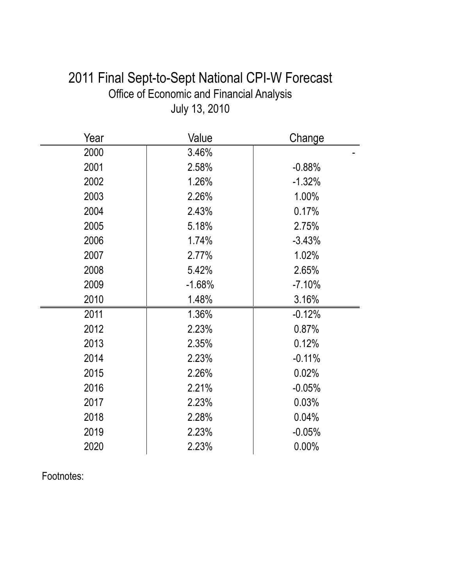| 2011 Final Sept-to-Sept National CPI-W Forecast |
|-------------------------------------------------|
| Office of Economic and Financial Analysis       |
| July 13, 2010                                   |

| Year | Value    | Change   |
|------|----------|----------|
| 2000 | 3.46%    |          |
| 2001 | 2.58%    | $-0.88%$ |
| 2002 | 1.26%    | $-1.32%$ |
| 2003 | 2.26%    | 1.00%    |
| 2004 | 2.43%    | 0.17%    |
| 2005 | 5.18%    | 2.75%    |
| 2006 | 1.74%    | $-3.43%$ |
| 2007 | 2.77%    | 1.02%    |
| 2008 | 5.42%    | 2.65%    |
| 2009 | $-1.68%$ | $-7.10%$ |
| 2010 | 1.48%    | 3.16%    |
| 2011 | 1.36%    | $-0.12%$ |
| 2012 | 2.23%    | 0.87%    |
| 2013 | 2.35%    | 0.12%    |
| 2014 | 2.23%    | $-0.11%$ |
| 2015 | 2.26%    | 0.02%    |
| 2016 | 2.21%    | $-0.05%$ |
| 2017 | 2.23%    | 0.03%    |
| 2018 | 2.28%    | 0.04%    |
| 2019 | 2.23%    | $-0.05%$ |
| 2020 | 2.23%    | $0.00\%$ |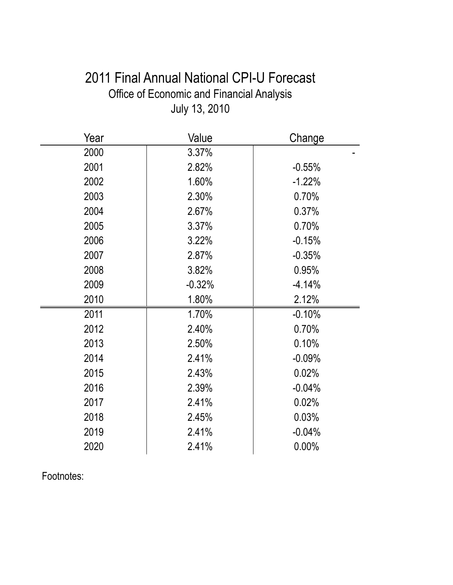# 2011 Final Annual National CPI-U Forecast Office of Economic and Financial Analysis July 13, 2010

| Year | Value    | Change   |
|------|----------|----------|
| 2000 | 3.37%    |          |
| 2001 | 2.82%    | $-0.55%$ |
| 2002 | 1.60%    | $-1.22%$ |
| 2003 | 2.30%    | 0.70%    |
| 2004 | 2.67%    | 0.37%    |
| 2005 | 3.37%    | 0.70%    |
| 2006 | 3.22%    | $-0.15%$ |
| 2007 | 2.87%    | $-0.35%$ |
| 2008 | 3.82%    | 0.95%    |
| 2009 | $-0.32%$ | $-4.14%$ |
| 2010 | 1.80%    | 2.12%    |
| 2011 | 1.70%    | $-0.10%$ |
| 2012 | 2.40%    | 0.70%    |
| 2013 | 2.50%    | 0.10%    |
| 2014 | 2.41%    | $-0.09%$ |
| 2015 | 2.43%    | 0.02%    |
| 2016 | 2.39%    | $-0.04%$ |
| 2017 | 2.41%    | 0.02%    |
| 2018 | 2.45%    | 0.03%    |
| 2019 | 2.41%    | $-0.04%$ |
| 2020 | 2.41%    | 0.00%    |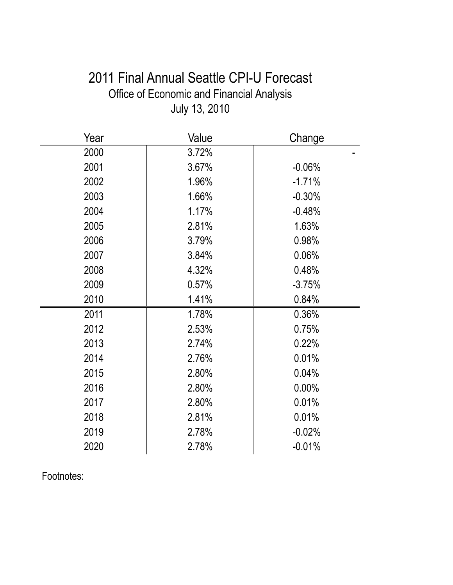# 2011 Final Annual Seattle CPI-U Forecast Office of Economic and Financial Analysis July 13, 2010

| Year | Value | Change   |
|------|-------|----------|
| 2000 | 3.72% |          |
| 2001 | 3.67% | $-0.06%$ |
| 2002 | 1.96% | $-1.71%$ |
| 2003 | 1.66% | $-0.30%$ |
| 2004 | 1.17% | $-0.48%$ |
| 2005 | 2.81% | 1.63%    |
| 2006 | 3.79% | 0.98%    |
| 2007 | 3.84% | 0.06%    |
| 2008 | 4.32% | 0.48%    |
| 2009 | 0.57% | $-3.75%$ |
| 2010 | 1.41% | 0.84%    |
| 2011 | 1.78% | 0.36%    |
| 2012 | 2.53% | 0.75%    |
| 2013 | 2.74% | 0.22%    |
| 2014 | 2.76% | 0.01%    |
| 2015 | 2.80% | 0.04%    |
| 2016 | 2.80% | 0.00%    |
| 2017 | 2.80% | 0.01%    |
| 2018 | 2.81% | 0.01%    |
| 2019 | 2.78% | $-0.02%$ |
| 2020 | 2.78% | $-0.01%$ |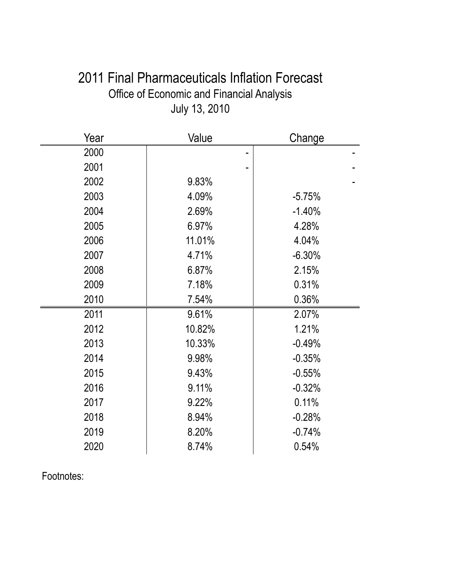| 2011 Final Pharmaceuticals Inflation Forecast |
|-----------------------------------------------|
| Office of Economic and Financial Analysis     |
| July 13, 2010                                 |

| Year | Value  | Change   |
|------|--------|----------|
| 2000 |        |          |
| 2001 |        |          |
| 2002 | 9.83%  |          |
| 2003 | 4.09%  | $-5.75%$ |
| 2004 | 2.69%  | $-1.40%$ |
| 2005 | 6.97%  | 4.28%    |
| 2006 | 11.01% | 4.04%    |
| 2007 | 4.71%  | $-6.30%$ |
| 2008 | 6.87%  | 2.15%    |
| 2009 | 7.18%  | 0.31%    |
| 2010 | 7.54%  | 0.36%    |
| 2011 | 9.61%  | 2.07%    |
| 2012 | 10.82% | 1.21%    |
| 2013 | 10.33% | $-0.49%$ |
| 2014 | 9.98%  | $-0.35%$ |
| 2015 | 9.43%  | $-0.55%$ |
| 2016 | 9.11%  | $-0.32%$ |
| 2017 | 9.22%  | 0.11%    |
| 2018 | 8.94%  | $-0.28%$ |
| 2019 | 8.20%  | $-0.74%$ |
| 2020 | 8.74%  | 0.54%    |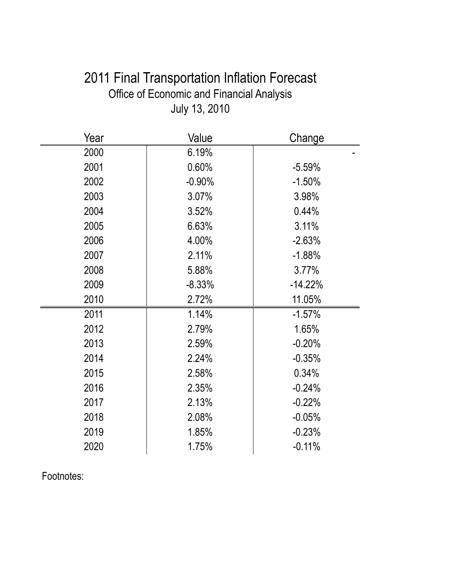# 2011 Final Transportation Inflation Forecast Office of Economic and Financial Analysis July 13, 2010

| Year | Value    | Change    |
|------|----------|-----------|
| 2000 | 6.19%    |           |
| 2001 | 0.60%    | $-5.59%$  |
| 2002 | $-0.90%$ | $-1.50%$  |
| 2003 | 3.07%    | 3.98%     |
| 2004 | 3.52%    | 0.44%     |
| 2005 | 6.63%    | 3.11%     |
| 2006 | 4.00%    | $-2.63%$  |
| 2007 | 2.11%    | $-1.88%$  |
| 2008 | 5.88%    | 3.77%     |
| 2009 | $-8.33%$ | $-14.22%$ |
| 2010 | 2.72%    | 11.05%    |
| 2011 | 1.14%    | $-1.57%$  |
| 2012 | 2.79%    | 1.65%     |
| 2013 | 2.59%    | $-0.20%$  |
| 2014 | 2.24%    | $-0.35%$  |
| 2015 | 2.58%    | 0.34%     |
| 2016 | 2.35%    | $-0.24%$  |
| 2017 | 2.13%    | $-0.22%$  |
| 2018 | 2.08%    | $-0.05%$  |
| 2019 | 1.85%    | $-0.23%$  |
| 2020 | 1.75%    | $-0.11%$  |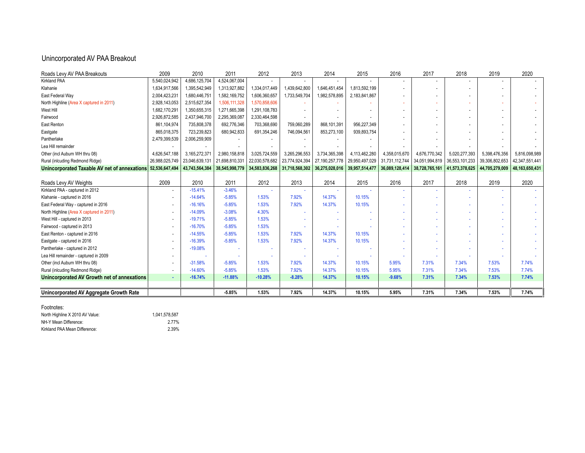#### Unincorporated AV PAA Breakout

| Roads Levy AV PAA Breakouts                                 | 2009           | 2010           | 2011           | 2012           | 2013           | 2014              | 2015           | 2016           | 2017           | 2018           | 2019           | 2020              |
|-------------------------------------------------------------|----------------|----------------|----------------|----------------|----------------|-------------------|----------------|----------------|----------------|----------------|----------------|-------------------|
| <b>Kirkland PAA</b>                                         | 5,540,024,942  | 4,686,125,704  | 4,524,067,004  |                |                |                   |                |                |                |                |                |                   |
| Klahanie                                                    | 1,634,917,566  | 1,395,542,949  | 1,313,927,882  | 1,334,017,449  | 1,439,642,800  | 1,646,451,454     | 1,813,592,199  |                |                |                |                |                   |
| East Federal Way                                            | 2,004,423,231  | 1,680,446,751  | 1,582,169,752  | 1,606,360,657  | 1,733,549,704  | 1,982,578,895     | 2,183,841,867  |                |                |                |                |                   |
| North Highline (Area X captured in 2011)                    | 2,928,143,053  | 2,515,627,354  | 1,506,111,328  | 1,570,858,606  |                |                   |                |                |                |                |                |                   |
| West Hill                                                   | 1,682,170,291  | 1,350,655,315  | 1,271,665,398  | 1,291,108,783  |                |                   |                |                |                |                |                |                   |
| Fairwood                                                    | 2,926,872,585  | 2,437,946,700  | 2,295,369,087  | 2,330,464,598  |                |                   |                |                |                |                |                |                   |
| East Renton                                                 | 861,104,974    | 735,808,378    | 692,776,346    | 703,368,690    | 759,060,289    | 868,101,391       | 956,227,349    |                |                |                |                |                   |
| Eastgate                                                    | 865,018,375    | 723,239,823    | 680,942,833    | 691,354,246    | 746,094,561    | 853,273,100       | 939,893,754    |                |                |                |                |                   |
| Pantherlake                                                 | 2,479,399,539  | 2,006,259,909  |                |                |                |                   |                |                |                |                |                |                   |
| Lea Hill remainder                                          |                |                |                |                |                |                   |                |                |                |                |                |                   |
| Other (incl Auburn WH thru 08)                              | 4,626,547,188  | 3,165,272,371  | 2,980,158,818  | 3,025,724,559  | 3,265,296,553  | 3,734,365,398     | 4,113,462,280  | 4,358,015,670  | 4,676,770,342  | 5,020,277,393  | 5,398,476,356  | 5,816,098,989     |
| Rural (inlcuding Redmond Ridge)                             | 26,988,025,749 | 23,046,639,131 | 21,698,810,331 | 22,030,578,682 | 23,774,924,394 | 27, 190, 257, 778 | 29,950,497,029 | 31,731,112,744 | 34,051,994,819 | 36,553,101,233 | 39,306,802,653 | 42,347,551,441    |
| Unincorporated Taxable AV net of annexations 52,536,647,494 |                | 43,743,564,384 | 38,545,998,779 | 34,583,836,268 | 31,718,568,302 | 36,275,028,016    | 39,957,514,477 | 36,089,128,414 | 38,728,765,161 | 41,573,378,625 | 44,705,279,009 | 48, 163, 650, 431 |
|                                                             |                |                |                |                |                |                   |                |                |                |                |                |                   |
| Roads Levy AV Weights                                       | 2009           | 2010           | 2011           | 2012           | 2013           | 2014              | 2015           | 2016           | 2017           | 2018           | 2019           | 2020              |
| Kirkland PAA - captured in 2012                             |                | $-15.41%$      | $-3.46%$       |                |                |                   |                |                |                |                |                |                   |
| Klahanie - captured in 2016                                 |                | $-14.64%$      | $-5.85%$       | 1.53%          | 7.92%          | 14.37%            | 10.15%         |                |                |                |                |                   |
| East Federal Way - captured in 2016                         |                | $-16.16%$      | $-5.85%$       | 1.53%          | 7.92%          | 14.37%            | 10.15%         |                |                |                |                |                   |
| North Highline (Area X captured in 2011)                    |                | $-14.09%$      | $-3.08%$       | 4.30%          |                |                   |                |                |                |                |                |                   |
| West Hill - captured in 2013                                |                | $-19.71%$      | $-5.85%$       | 1.53%          |                |                   |                |                |                |                |                |                   |
| Fairwood - captured in 2013                                 |                | $-16.70%$      | $-5.85%$       | 1.53%          |                |                   |                |                |                |                |                |                   |
| East Renton - captured in 2016                              |                | $-14.55%$      | $-5.85%$       | 1.53%          | 7.92%          | 14.37%            | 10.15%         |                |                |                |                |                   |
| Eastgate - captured in 2016                                 |                | $-16.39%$      | $-5.85%$       | 1.53%          | 7.92%          | 14.37%            | 10.15%         |                |                |                |                |                   |
| Pantherlake - captured in 2012                              |                | $-19.08%$      |                |                |                |                   |                |                |                |                |                |                   |
| Lea Hill remainder - captured in 2009                       |                |                |                |                |                |                   |                |                |                |                |                |                   |
| Other (incl Auburn WH thru 08)                              |                | $-31.58%$      | $-5.85%$       | 1.53%          | 7.92%          | 14.37%            | 10.15%         | 5.95%          | 7.31%          | 7.34%          | 7.53%          | 7.74%             |
| Rural (inlcuding Redmond Ridge)                             |                | $-14.60%$      | $-5.85%$       | 1.53%          | 7.92%          | 14.37%            | 10.15%         | 5.95%          | 7.31%          | 7.34%          | 7.53%          | 7.74%             |
| Unincorporated AV Growth net of annexations                 |                | $-16.74%$      | $-11.88%$      | $-10.28%$      | $-8.28%$       | 14.37%            | 10.15%         | $-9.68%$       | 7.31%          | 7.34%          | 7.53%          | 7.74%             |
|                                                             |                |                |                |                |                |                   |                |                |                |                |                |                   |
| Unincorporated AV Aggregate Growth Rate                     |                |                | $-5.85%$       | 1.53%          | 7.92%          | 14.37%            | 10.15%         | 5.95%          | 7.31%          | 7.34%          | 7.53%          | 7.74%             |

Footnotes:

North Highline X 2010 AV Value: 1,041,578,587 NH-Y Mean Difference:<br>2.77% / Kirkland PAA Mean Difference: 2.39% Kirkland PAA Mean Difference: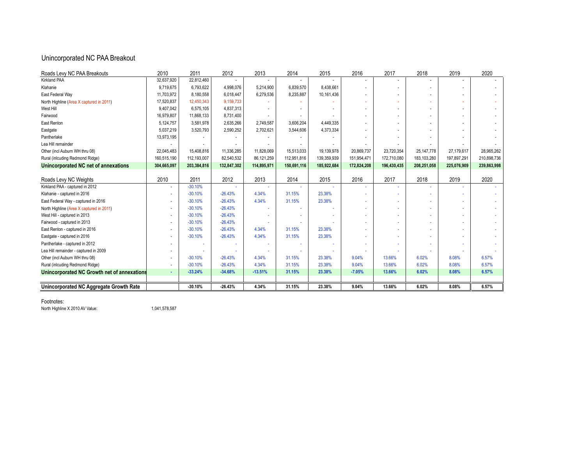#### Unincorporated NC PAA Breakout

| Roads Levy NC PAA Breakouts                 | 2010           | 2011        | 2012        | 2013        | 2014        | 2015        | 2016        | 2017        | 2018          | 2019        | 2020        |
|---------------------------------------------|----------------|-------------|-------------|-------------|-------------|-------------|-------------|-------------|---------------|-------------|-------------|
| <b>Kirkland PAA</b>                         | 32,637,920     | 22,812,460  |             |             |             |             |             |             |               |             |             |
| Klahanie                                    | 9,719,675      | 6,793,622   | 4,998,076   | 5,214,900   | 6,839,570   | 8,438,661   |             |             |               |             |             |
| East Federal Way                            | 11,703,972     | 8,180,558   | 6,018,447   | 6,279,536   | 8,235,887   | 10,161,436  |             |             |               |             |             |
| North Highline (Area X captured in 2011)    | 17,520,837     | 12,450,343  | 9,159,733   |             |             |             |             |             |               |             |             |
| West Hill                                   | 9,407,042      | 6,575,105   | 4,837,313   |             |             |             |             |             |               |             |             |
| Fairwood                                    | 16,979,807     | 11,868,133  | 8,731,400   |             |             |             |             |             |               |             |             |
| East Renton                                 | 5,124,757      | 3,581,978   | 2,635,266   | 2,749,587   | 3,606,204   | 4,449,335   |             |             |               |             |             |
| Eastgate                                    | 5,037,219      | 3,520,793   | 2,590,252   | 2,702,621   | 3,544,606   | 4,373,334   |             |             |               |             |             |
| Pantherlake                                 | 13,973,195     |             |             |             |             |             |             |             |               |             |             |
| Lea Hill remainder                          |                |             |             |             |             |             |             |             |               |             |             |
| Other (incl Auburn WH thru 08)              | 22,045,483     | 15,408,816  | 11,336,285  | 11,828,069  | 15,513,033  | 19,139,978  | 20,869,737  | 23,720,354  | 25, 147, 778  | 27,179,617  | 28,965,262  |
| Rural (inlcuding Redmond Ridge)             | 160,515,190    | 112,193,007 | 82,540,532  | 86,121,259  | 112,951,816 | 139,359,939 | 151,954,471 | 172,710,080 | 183, 103, 280 | 197,897,291 | 210,898,736 |
| Unincorporated NC net of annexations        | 304,665,097    | 203,384,816 | 132,847,302 | 114,895,971 | 150,691,116 | 185,922,684 | 172,824,208 | 196,430,435 | 208,251,058   | 225,076,909 | 239,863,998 |
|                                             |                |             |             |             |             |             |             |             |               |             |             |
| Roads Levy NC Weights                       | 2010           | 2011        | 2012        | 2013        | 2014        | 2015        | 2016        | 2017        | 2018          | 2019        | 2020        |
| Kirkland PAA - captured in 2012             | $\blacksquare$ | $-30.10%$   |             |             |             |             |             |             |               |             |             |
| Klahanie - captured in 2016                 |                | $-30.10%$   | $-26.43%$   | 4.34%       | 31.15%      | 23.38%      |             |             |               |             |             |
| East Federal Way - captured in 2016         |                | $-30.10%$   | $-26.43%$   | 4.34%       | 31.15%      | 23.38%      |             |             |               |             |             |
| North Highline (Area X captured in 2011)    |                | $-30.10%$   | $-26.43%$   |             |             |             |             |             |               |             |             |
| West Hill - captured in 2013                |                | $-30.10%$   | $-26.43%$   |             |             |             |             |             |               |             |             |
| Fairwood - captured in 2013                 |                | $-30.10%$   | $-26.43%$   |             |             |             |             |             |               |             |             |
| East Renton - captured in 2016              |                | $-30.10%$   | $-26.43%$   | 4.34%       | 31.15%      | 23.38%      |             |             |               |             |             |
| Eastgate - captured in 2016                 |                | $-30.10%$   | $-26.43%$   | 4.34%       | 31.15%      | 23.38%      |             |             |               |             |             |
| Pantherlake - captured in 2012              |                |             |             |             |             |             |             |             |               |             |             |
| Lea Hill remainder - captured in 2009       |                |             |             |             |             |             |             |             |               |             |             |
| Other (incl Auburn WH thru 08)              |                | $-30.10%$   | $-26.43%$   | 4.34%       | 31.15%      | 23.38%      | 9.04%       | 13.66%      | 6.02%         | 8.08%       | 6.57%       |
| Rural (inlcuding Redmond Ridge)             |                | $-30.10%$   | $-26.43%$   | 4.34%       | 31.15%      | 23.38%      | 9.04%       | 13.66%      | 6.02%         | 8.08%       | 6.57%       |
| Unincorporated NC Growth net of annexations | ×.             | $-33.24%$   | $-34.68%$   | $-13.51%$   | 31.15%      | 23.38%      | $-7.05%$    | 13.66%      | 6.02%         | 8.08%       | 6.57%       |
|                                             |                |             |             |             |             |             |             |             |               |             |             |
| Unincorporated NC Aggregate Growth Rate     |                | $-30.10%$   | $-26.43%$   | 4.34%       | 31.15%      | 23.38%      | 9.04%       | 13.66%      | 6.02%         | 8.08%       | 6.57%       |

Footnotes:

North Highline X 2010 AV Value: 1,041,578,587